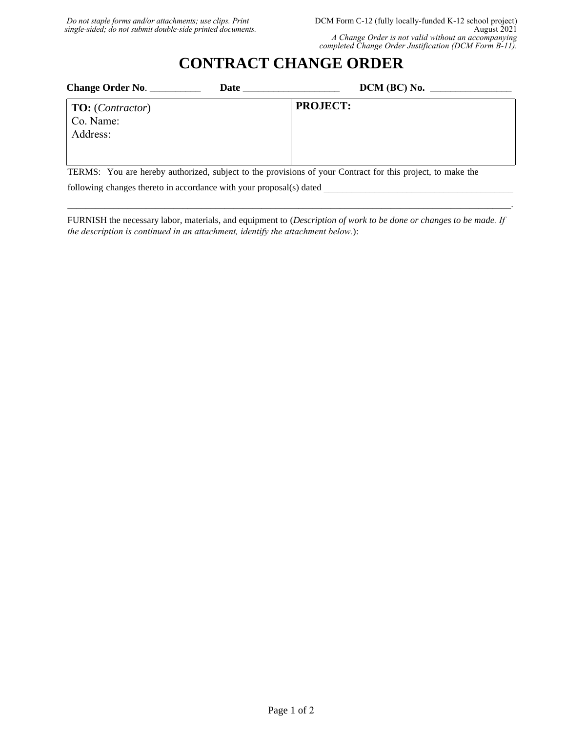## **CONTRACT CHANGE ORDER**

| <b>Change Order No.</b>                                   | Date | DCM (BC) No.    |  |
|-----------------------------------------------------------|------|-----------------|--|
| <b>TO:</b> ( <i>Contractor</i> )<br>Co. Name:<br>Address: |      | <b>PROJECT:</b> |  |

TERMS: You are hereby authorized, subject to the provisions of your Contract for this project, to make the

following changes thereto in accordance with your proposal(s) dated \_

FURNISH the necessary labor, materials, and equipment to (*Description of work to be done or changes to be made. If the description is continued in an attachment, identify the attachment below.*):

\_\_\_\_\_\_\_\_\_\_\_\_\_\_\_\_\_\_\_\_\_\_\_\_\_\_\_\_\_\_\_\_\_\_\_\_\_\_\_\_\_\_\_\_\_\_\_\_\_\_\_\_\_\_\_\_\_\_\_\_\_\_\_\_\_\_\_\_\_\_\_\_\_\_\_\_\_\_\_\_\_\_\_\_\_\_\_\_\_\_\_\_\_\_\_\_.